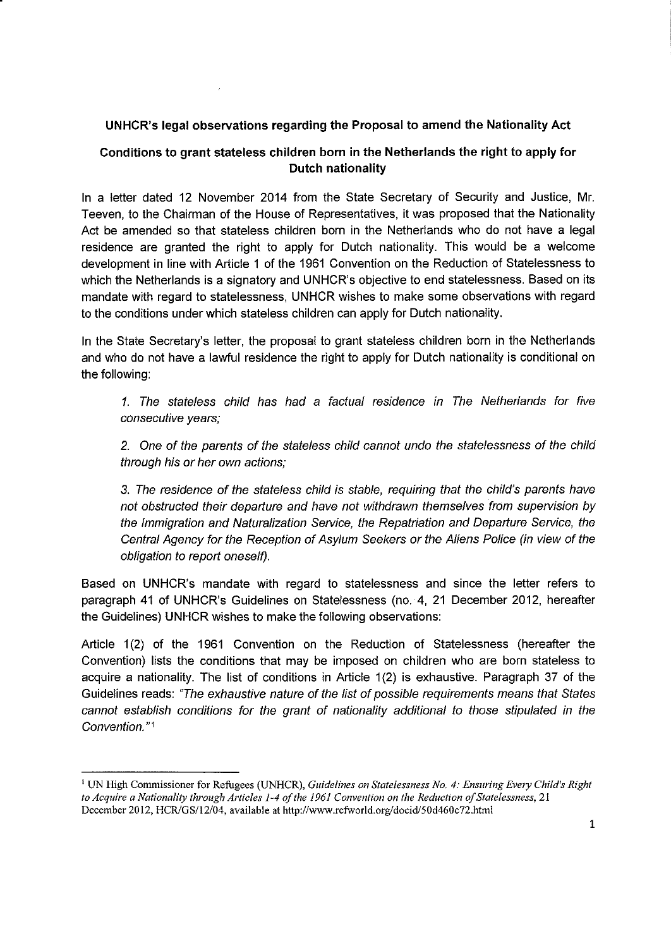## UNHCR's legal observations regarding the Proposal to amend the Nationality Act

## Conditions to grant stateless children born in the Netherlands the right to apply for Dutch nationality

In a letter dated 12 November 2014 from the State Secretary of Security and Justice, Mr. Teeven, to the Chairman of the House of Representatives, it was proposed that the Nationality Act be amended so that stateless children born in the Netherlands who do not have a legal residence are granted the right to apply for Dutch nationality. This would be a welcome development in line with Article 1 of the 1961 Convention on the Reduction of Statelessness to which the Netherlands is a signatory and UNHCR's objective to end statelessness. Based on its mandate with regard to statelessness, UNHCR wishes to make some observations with regard to the conditions under which stateless children can apply for Dutch nationality.

In the State Secretary's letter, the proposal to grant stateless children born in the Netherlands and who do not have a lawful residence the right to apply for Dutch nationality is conditional on the following:

1. The stateless child has had a factual residence in The Netherlands for five consecutive years;

2. One of the parents of the stateless child cannot undo the statelessness of the child through his or her own actions;

3. The residence of the stateless child is stable, requiring that the child's parents have not obstructed their departure and have not withdrawn themselves from supervision by the Immigration and Naturalization Service, the Repatriation and Departure Service, the Central Agency for the Reception of Asylum Seekers or the Aliens Police (in view of the obligation to report oneself).

Based on UNHCR's mandate with regard to statelessness and since the letter refers to paragraph 41 of UNHCR's Guidelines on Statelessness (no. 4, 21 December 2012, hereafter the Guidelines) UNHCR wishes to make the following observations:

Article 1(2) of the 1961 Convention on the Reduction of Statelessness (hereafter the Convention) lists the conditions that may be imposed on children who are born stateless to acquire a nationality. The list of conditions in Article 1(2) is exhaustive. Paragraph 37 of the Guidelines reads: 'The exhaustive nature of the list of possible requirements means that States cannot establish conditions for the grant of nationality additional to those stipulated in the Convention. "1

<sup>I</sup> UN High Commissioner for Refugees (UNHCR), *Guidelines on Statelessness No.* 4: *Ensuring Every Child's Right to Acquire a Nationality through Articles* 1-4 *ofthe* 1961 *Convention on the Reduction ofStatelessness, 21* December 2012, HCR/GS/12/04, available at http://www.refworld.org/docid/50d460c72.html